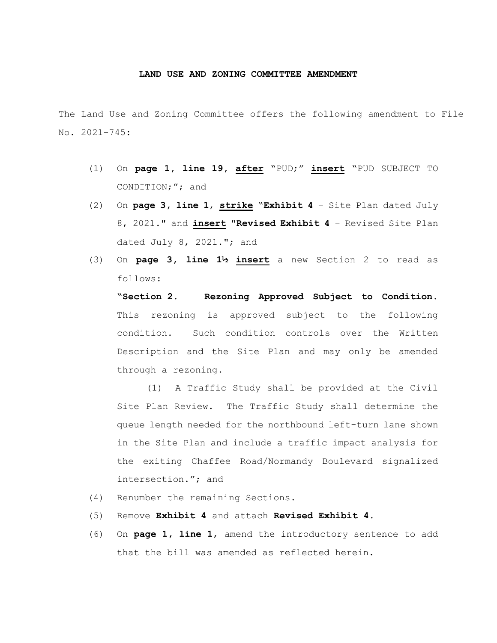## **LAND USE AND ZONING COMMITTEE AMENDMENT**

The Land Use and Zoning Committee offers the following amendment to File No. 2021-745:

- (1) On **page 1, line 19, after** "PUD;" **insert** "PUD SUBJECT TO CONDITION;"; and
- (2) On **page 3, line 1**, **strike** "**Exhibit 4** Site Plan dated July 8, 2021." and **insert** "**Revised Exhibit 4** – Revised Site Plan dated July 8, 2021."; and
- (3) On **page 3, line 1½ insert** a new Section 2 to read as follows:

**"Section 2. Rezoning Approved Subject to Condition.**  This rezoning is approved subject to the following condition. Such condition controls over the Written Description and the Site Plan and may only be amended through a rezoning.

(1) A Traffic Study shall be provided at the Civil Site Plan Review. The Traffic Study shall determine the queue length needed for the northbound left-turn lane shown in the Site Plan and include a traffic impact analysis for the exiting Chaffee Road/Normandy Boulevard signalized intersection."; and

- (4) Renumber the remaining Sections.
- (5) Remove **Exhibit 4** and attach **Revised Exhibit 4**.
- (6) On **page 1, line 1**, amend the introductory sentence to add that the bill was amended as reflected herein.